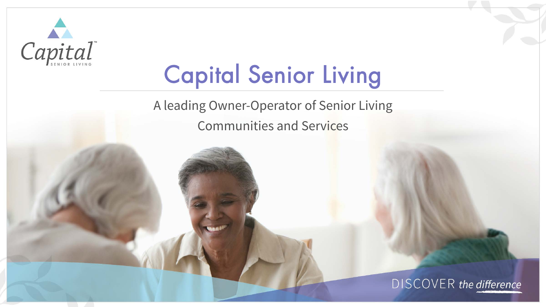

# Capital Senior Living

A leading Owner-Operator of Senior Living Communities and Services

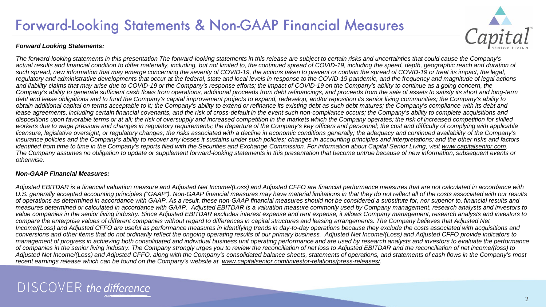## Forward-Looking Statements & Non-GAAP Financial Measures

### *Forward Looking Statements:*

*The forward-looking statements in this presentation The forward-looking statements in this release are subject to certain risks and uncertainties that could cause the Company's*  actual results and financial condition to differ materially, including, but not limited to, the continued spread of COVID-19, including the speed, depth, geographic reach and duration of *such spread, new information that may emerge concerning the severity of COVID-19, the actions taken to prevent or contain the spread of COVID-19 or treat its impact, the legal,*  regulatory and administrative developments that occur at the federal, state and local levels in response to the COVID-19 pandemic, and the frequency and magnitude of legal actions and liability claims that may arise due to COVID-19 or the Company's response efforts; the impact of COVID-19 on the Company's ability to continue as a going concern, the *Company's ability to generate sufficient cash flows from operations, additional proceeds from debt refinancings, and proceeds from the sale of assets to satisfy its short and long-term*  debt and lease obligations and to fund the Company's capital improvement projects to expand, redevelop, and/or reposition its senior living communities; the Company's ability to *obtain additional capital on terms acceptable to it; the Company's ability to extend or refinance its existing debt as such debt matures; the Company's compliance with its debt and*  lease agreements, including certain financial covenants, and the risk of cross-default in the event such non-compliance occurs; the Company's ability to complete acquisitions and *dispositions upon favorable terms or at all; the risk of oversupply and increased competition in the markets which the Company operates; the risk of increased competition for skilled workers due to wage pressure and changes in regulatory requirements; the departure of the Company's key officers and personnel; the cost and difficulty of complying with applicable*  licensure, legislative oversight, or regulatory changes; the risks associated with a decline in economic conditions generally; the adequacy and continued availability of the Company's *insurance policies and the Company's ability to recover any losses it sustains under such policies; changes in accounting principles and interpretations; and the other risks and factors*  identified from time to time in the Company's reports filed with the Securities and Exchange Commission. For information about Capital Senior Living, visit [www.capitalsenior.com.](http://www.capitalsenior.com/) *The Company assumes no obligation to update or supplement forward-looking statements in this presentation that become untrue because of new information, subsequent events or otherwise.* 

### *Non-GAAP Financial Measures:*

*Adjusted EBITDAR is a financial valuation measure and Adjusted Net Income/(Loss) and Adjusted CFFO are financial performance measures that are not calculated in accordance with U.S. generally accepted accounting principles ("GAAP"). Non-GAAP financial measures may have material limitations in that they do not reflect all of the costs associated with our results of operations as determined in accordance with GAAP. As a result, these non-GAAP financial measures should not be considered a substitute for, nor superior to, financial results and measures determined or calculated in accordance with GAAP. Adjusted EBITDAR is a valuation measure commonly used by Company management, research analysts and investors to value companies in the senior living industry. Since Adjusted EBITDAR excludes interest expense and rent expense, it allows Company management, research analysts and investors to compare the enterprise values of different companies without regard to differences in capital structures and leasing arrangements. The Company believes that Adjusted Net Income/(Loss) and Adjusted CFFO are useful as performance measures in identifying trends in day-to-day operations because they exclude the costs associated with acquisitions and conversions and other items that do not ordinarily reflect the ongoing operating results of our primary business. Adjusted Net Income/(Loss) and Adjusted CFFO provide indicators to management of progress in achieving both consolidated and individual business unit operating performance and are used by research analysts and investors to evaluate the performance of companies in the senior living industry. The Company strongly urges you to review the reconciliation of net loss to Adjusted EBITDAR and the reconciliation of net income/(loss) to Adjusted Net Income/(Loss) and Adjusted CFFO, along with the Company's consolidated balance sheets, statements of operations, and statements of cash flows in the Company's most recent earnings release which can be found on the Company's website at [www.capitalsenior.com/investor-relations/press-releases/.](http://www.capitalsenior.com/investor-relations/press-releases/)* 

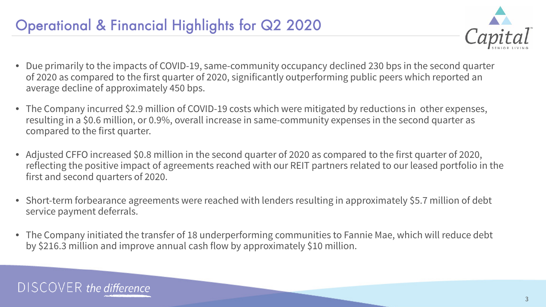## Operational & Financial Highlights for Q2 2020



- Due primarily to the impacts of COVID-19, same-community occupancy declined 230 bps in the second quarter of 2020 as compared to the first quarter of 2020, significantly outperforming public peers which reported an average decline of approximately 450 bps.
- The Company incurred \$2.9 million of COVID-19 costs which were mitigated by reductions in other expenses, resulting in a \$0.6 million, or 0.9%, overall increase in same-community expenses in the second quarter as compared to the first quarter.
- Adjusted CFFO increased \$0.8 million in the second quarter of 2020 as compared to the first quarter of 2020, reflecting the positive impact of agreements reached with our REIT partners related to our leased portfolio in the first and second quarters of 2020.
- Short-term forbearance agreements were reached with lenders resulting in approximately \$5.7 million of debt service payment deferrals.
- The Company initiated the transfer of 18 underperforming communities to Fannie Mae, which will reduce debt by \$216.3 million and improve annual cash flow by approximately \$10 million.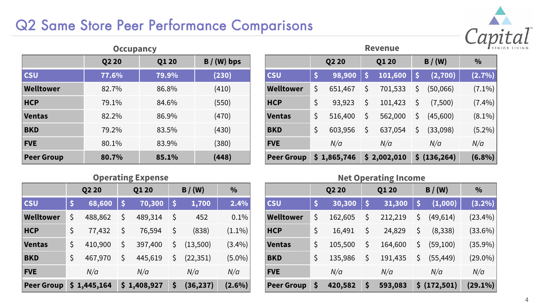### Q2 Same Store Peer Performance Comparisons



| <b>Occupancy</b>  |             |       |             |  |  |  |  |
|-------------------|-------------|-------|-------------|--|--|--|--|
|                   | <b>Q220</b> | Q1 20 | $B/(W)$ bps |  |  |  |  |
| <b>CSU</b>        | 77.6%       | 79.9% | (230)       |  |  |  |  |
| <b>Welltower</b>  | 82.7%       | 86.8% | (410)       |  |  |  |  |
| <b>HCP</b>        | 79.1%       | 84.6% | (550)       |  |  |  |  |
| <b>Ventas</b>     | 82.2%       | 86.9% | (470)       |  |  |  |  |
| <b>BKD</b>        | 79.2%       | 83.5% | (430)       |  |  |  |  |
| <b>FVE</b>        | 80.1%       | 83.9% | (380)       |  |  |  |  |
| <b>Peer Group</b> | 80.7%       | 85.1% | (448)       |  |  |  |  |

|                   | <b>Revenue</b>       |             |           |             |          | SEN           |               |
|-------------------|----------------------|-------------|-----------|-------------|----------|---------------|---------------|
|                   | <b>Q220</b>          |             | Q1 20     |             | B/(W)    |               | $\frac{0}{0}$ |
| <b>CSU</b>        | $\boldsymbol{\zeta}$ | 98,900      | <u>is</u> | 101,600     | <b>S</b> | (2,700)       | $(2.7\%)$     |
| <b>Welltower</b>  | \$                   | 651,467     | \$        | 701,533     | \$       | (50,066)      | $(7.1\%)$     |
| <b>HCP</b>        | \$                   | 93,923      | \$        | 101,423     | \$       | (7,500)       | $(7.4\%)$     |
| <b>Ventas</b>     | \$                   | 516,400     | \$        | 562,000     | \$       | (45,600)      | $(8.1\%)$     |
| <b>BKD</b>        | \$                   | 603,956     | \$        | 637,054     | \$       | (33,098)      | $(5.2\%)$     |
| <b>FVE</b>        |                      | N/a         |           | N/a         |          | N/a           | N/a           |
| <b>Peer Group</b> |                      | \$1,865,746 |           | \$2,002,010 |          | \$ (136, 264) | (6.8%)        |

### **Operating Expense**

|                   |          | <b>Q220</b> | Q1 20 |             | B/(W)                  |           | $\frac{0}{0}$ |
|-------------------|----------|-------------|-------|-------------|------------------------|-----------|---------------|
| <b>CSU</b>        | <b>Ş</b> | 68,600      | I\$   | 70,300      | $ \boldsymbol{\zeta} $ | 1,700     | 2.4%          |
| <b>Welltower</b>  | \$       | 488,862     | \$    | 489,314     | \$                     | 452       | 0.1%          |
| <b>HCP</b>        | \$       | 77,432      | \$    | 76,594      | \$                     | (838)     | $(1.1\%)$     |
| <b>Ventas</b>     | \$       | 410,900     | \$    | 397,400     | \$                     | (13,500)  | $(3.4\%)$     |
| <b>BKD</b>        | \$       | 467,970     | \$    | 445,619     | \$                     | (22, 351) | $(5.0\%)$     |
| <b>FVE</b>        |          | N/a         |       | N/a         |                        | N/a       | N/a           |
| <b>Peer Group</b> |          | \$1,445,164 |       | \$1,408,927 | \$                     | (36, 237) | $(2.6\%)$     |

| """">"            |    |             |          |         |                                  |              |               |  |
|-------------------|----|-------------|----------|---------|----------------------------------|--------------|---------------|--|
|                   |    | <b>Q220</b> | Q1 20    |         | B/(W)                            |              | $\frac{0}{0}$ |  |
| <b>CSU</b>        | \$ | 30,300      | <b>S</b> | 31,300  | $\vert \boldsymbol{\zeta} \vert$ | (1,000)      | $(3.2\%)$     |  |
| <b>Welltower</b>  | \$ | 162,605     | \$       | 212,219 | \$                               | (49, 614)    | $(23.4\%)$    |  |
| <b>HCP</b>        | \$ | 16,491      | \$       | 24,829  | \$                               | (8,338)      | $(33.6\%)$    |  |
| <b>Ventas</b>     | \$ | 105,500     | \$       | 164,600 | \$                               | (59,100)     | $(35.9\%)$    |  |
| <b>BKD</b>        | \$ | 135,986     | \$       | 191,435 | \$                               | (55, 449)    | $(29.0\%)$    |  |
| <b>FVE</b>        |    | N/a         |          | N/a     |                                  | N/a          | N/a           |  |
| <b>Peer Group</b> | \$ | 420,582     | \$       | 593,083 |                                  | \$ (172,501) | $(29.1\%)$    |  |

**Net Operating Income**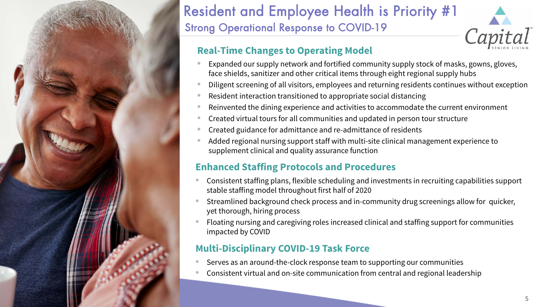

## Resident and Employee Health is Priority #1 Strong Operational Response to COVID-19



### **Real-Time Changes to Operating Model**

- Expanded our supply network and fortified community supply stock of masks, gowns, gloves, face shields, sanitizer and other critical items through eight regional supply hubs
- Diligent screening of all visitors, employees and returning residents continues without exception
- Resident interaction transitioned to appropriate social distancing
- Reinvented the dining experience and activities to accommodate the current environment
- Created virtual tours for all communities and updated in person tour structure
- Created guidance for admittance and re-admittance of residents
- Added regional nursing support staff with multi-site clinical management experience to supplement clinical and quality assurance function

### **Enhanced Staffing Protocols and Procedures**

- Consistent staffing plans, flexible scheduling and investments in recruiting capabilities support stable staffing model throughout first half of 2020
- Streamlined background check process and in-community drug screenings allow for quicker, yet thorough, hiring process
- Floating nursing and caregiving roles increased clinical and staffing support for communities impacted by COVID

### **Multi-Disciplinary COVID-19 Task Force**

- Serves as an around-the-clock response team to supporting our communities
- Consistent virtual and on-site communication from central and regional leadership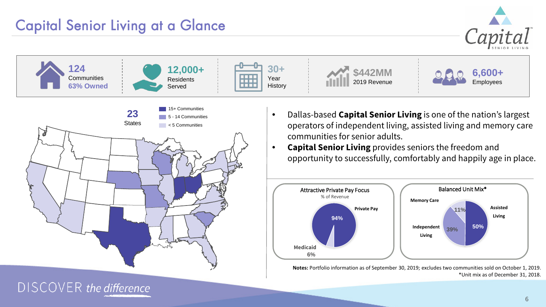## Capital Senior Living at a Glance

Capital

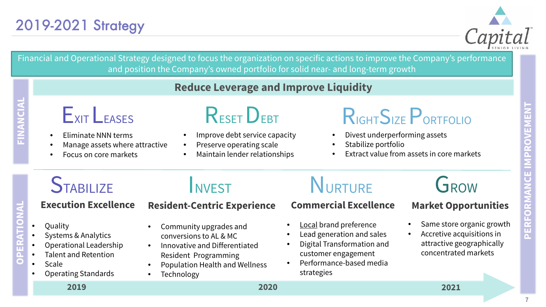## 2019-2021 Strategy



Financial and Operational Strategy designed to focus the organization on specific actions to improve the Company's performance and position the Company's owned portfolio for solid near- and long-term growth

**Reduce Leverage and Improve Liquidity**



- Eliminate NNN terms
- Manage assets where attractive
- Focus on core markets

- Improve debt service capacity
- Preserve operating scale
- Maintain lender relationships

# EXIT LEASES RESET DEBT RIGHT SIZE PORTFOLIO

- Divest underperforming assets
- Stabilize portfolio
- Extract value from assets in core markets

# STABILIZE INVEST NURTURE

 $\overline{\bigcap}$ 

- Quality
- Systems & Analytics
- Operational Leadership
- Talent and Retention
- Scale
- Operating Standards

**Execution Excellence Resident-Centric Experience Commercial Excellence Market Opportunities**

- Community upgrades and conversions to AL & MC
- Innovative and Differentiated Resident Programming
- Population Health and Wellness
- **Technology**

- Local brand preference
- Lead generation and sales
- Digital Transformation and customer engagement
- Performance-based media strategies

GROW

- Same store organic growth
- Accretive acquisitions in attractive geographically concentrated markets

### **2019 2020 2021**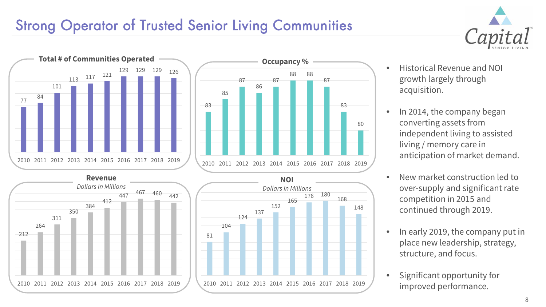## Strong Operator of Trusted Senior Living Communities





- Historical Revenue and NOI growth largely through acquisition.
- In 2014, the company began converting assets from independent living to assisted living / memory care in anticipation of market demand.
- New market construction led to over-supply and significant rate competition in 2015 and continued through 2019.
- In early 2019, the company put in place new leadership, strategy, structure, and focus.
- Significant opportunity for improved performance.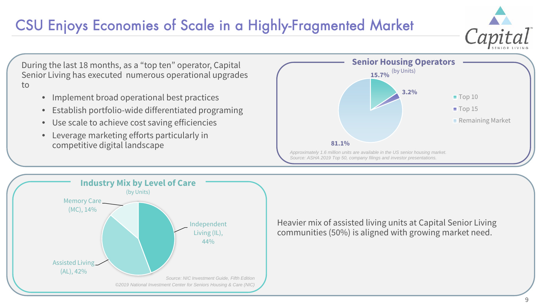### 9

## CSU Enjoys Economies of Scale in a Highly-Fragmented Market

During the last 18 months, as a "top ten" operator, Capital Senior Living has executed numerous operational upgrades to

- Implement broad operational best practices
- Establish portfolio-wide differentiated programing
- Use scale to achieve cost saving efficiencies
- Leverage marketing efforts particularly in competitive digital landscape







Independent Living (IL), 44% Assisted Living (AL), 42% Memory Care (MC), 14% **Industry Mix by Level of Care**  (by Units) *Source: NIC Investment Guide, Fifth Edition ©2019 National Investment Center for Seniors Housing & Care (NIC)* 

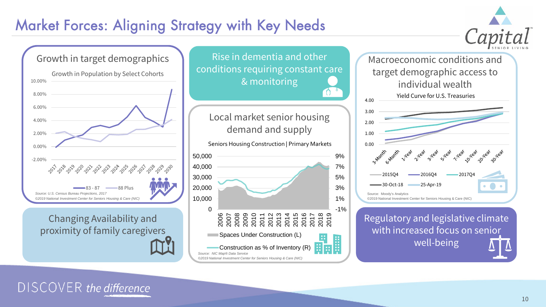## Market Forces: Aligning Strategy with Key Needs

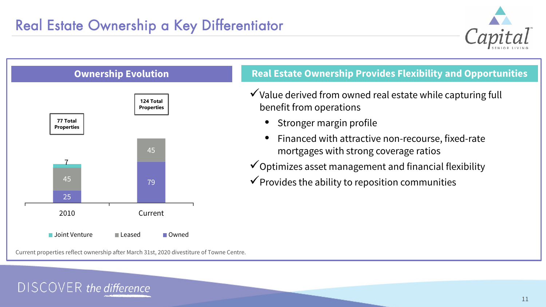



Current properties reflect ownership after March 31st, 2020 divestiture of Towne Centre.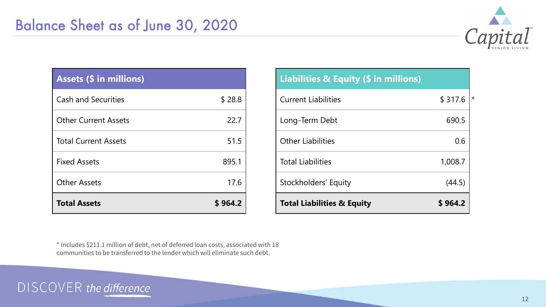

| <b>Assets (\$ in millions)</b> |         |
|--------------------------------|---------|
| <b>Cash and Securities</b>     | \$28.8  |
| <b>Other Current Assets</b>    | 22.7    |
| <b>Total Current Assets</b>    | 51.5    |
| <b>Fixed Assets</b>            | 895.1   |
| <b>Other Assets</b>            | 17.6    |
| <b>Total Assets</b>            | \$964.2 |

| Liabilities & Equity (\$ in millions) |         |         |
|---------------------------------------|---------|---------|
| <b>Current Liabilities</b>            | \$317.6 | $\star$ |
| Long-Term Debt                        | 690.5   |         |
| <b>Other Liabilities</b>              | 0.6     |         |
| <b>Total Liabilities</b>              | 1,008.7 |         |
| Stockholders' Equity                  | (44.5)  |         |
| <b>Total Liabilities &amp; Equity</b> | \$964.2 |         |

\* Includes \$211.1 million of debt, net of deferred loan costs, associated with 18 communities to be transferred to the lender which will eliminate such debt.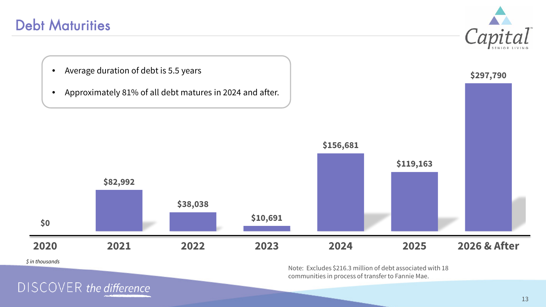### Debt Maturities





*\$ in thousands*

Note: Excludes \$216.3 million of debt associated with 18 communities in process of transfer to Fannie Mae.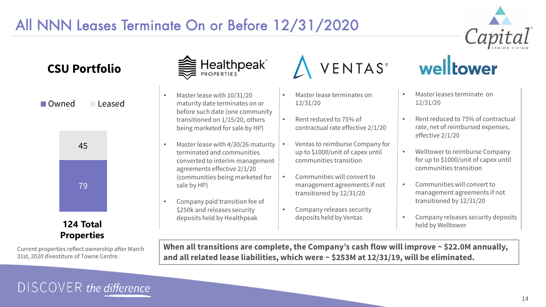## All NNN Leases Terminate On or Before 12/31/2020



### VENTAS® **CSU Portfolio** • Master lease terminates on • Master lease with  $10/31/20$ Owned Leased maturity date terminates on or 12/31/20 before such date (one community • Rent reduced to 75% of transitioned on 1/15/20, others contractual rate effective 2/1/20 being marketed for sale by HP) • Ventas to reimburse Company for • Master lease with 4/30/26 maturity 45 terminated and communities up to \$1000/unit of capex until converted to interim management communities transition agreements effective 2/1/20 (communities being marketed for • Communities will convert to sale by HP) management agreements if not 79 transitioned by 12/31/20 • Company paid transition fee of \$250k and releases security Company releases security deposits held by Healthpeak deposits held by Ventas **124 Total**

welltower

- Master leases terminate on 12/31/20
- Rent reduced to 75% of contractual rate, net of reimbursed expenses, effective 2/1/20
- Welltower to reimburse Company for up to \$1000/unit of capex until communities transition
- Communities will convert to management agreements if not transitioned by 12/31/20
- Company releases security deposits held by Welltower

Current properties reflect ownership after March 31st, 2020 divestiture of Towne Centre.

**Example Healthpeak** 

**When all transitions are complete, the Company's cash flow will improve ~ \$22.0M annually, and all related lease liabilities, which were ~ \$253M at 12/31/19, will be eliminated.**

## **DISCOVER** the difference

**Properties**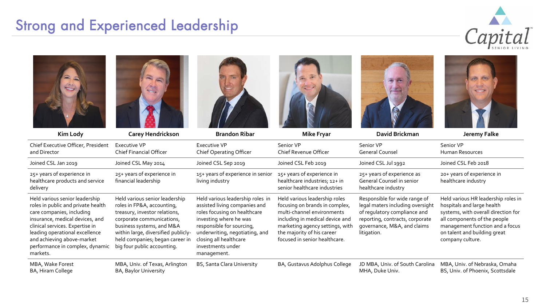## Strong and Experienced Leadership